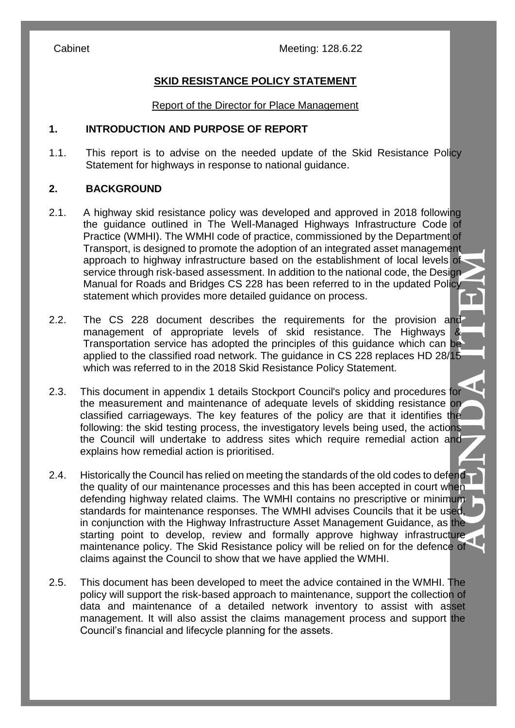Cabinet Meeting: 128.6.22

# **SKID RESISTANCE POLICY STATEMENT**

#### Report of the Director for Place Management

#### **1. INTRODUCTION AND PURPOSE OF REPORT**

1.1. This report is to advise on the needed update of the Skid Resistance Policy Statement for highways in response to national guidance.

# **2. BACKGROUND**

- 2.1. A highway skid resistance policy was developed and approved in 2018 following the guidance outlined in The Well-Managed Highways Infrastructure Code of Practice (WMHI). The WMHI code of practice, commissioned by the Department of Transport, is designed to promote the adoption of an integrated asset management approach to highway infrastructure based on the establishment of local levels of service through risk-based assessment. In addition to the national code, the Design Manual for Roads and Bridges CS 228 has been referred to in the updated Policy statement which provides more detailed guidance on process.
- 2.2. The CS 228 document describes the requirements for the provision and management of appropriate levels of skid resistance. The Highways & Transportation service has adopted the principles of this guidance which can be applied to the classified road network. The guidance in CS 228 replaces HD 28/15 which was referred to in the 2018 Skid Resistance Policy Statement.
- 2.3. This document in appendix 1 details Stockport Council's policy and procedures for the measurement and maintenance of adequate levels of skidding resistance on classified carriageways. The key features of the policy are that it identifies the following: the skid testing process, the investigatory levels being used, the actions the Council will undertake to address sites which require remedial action and explains how remedial action is prioritised.
- **AGENDA ITEM** 2.4. Historically the Council has relied on meeting the standards of the old codes to defend the quality of our maintenance processes and this has been accepted in court when defending highway related claims. The WMHI contains no prescriptive or minimum standards for maintenance responses. The WMHI advises Councils that it be used, in conjunction with the Highway Infrastructure Asset Management Guidance, as the starting point to develop, review and formally approve highway infrastructure maintenance policy. The Skid Resistance policy will be relied on for the defence of claims against the Council to show that we have applied the WMHI.
- 2.5. This document has been developed to meet the advice contained in the WMHI. The policy will support the risk-based approach to maintenance, support the collection of data and maintenance of a detailed network inventory to assist with asset management. It will also assist the claims management process and support the Council's financial and lifecycle planning for the assets.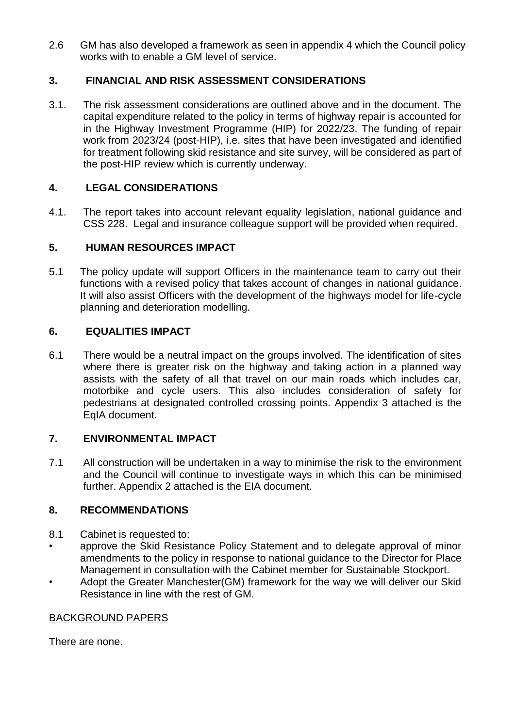2.6 GM has also developed a framework as seen in appendix 4 which the Council policy works with to enable a GM level of service.

# **3. FINANCIAL AND RISK ASSESSMENT CONSIDERATIONS**

3.1. The risk assessment considerations are outlined above and in the document. The capital expenditure related to the policy in terms of highway repair is accounted for in the Highway Investment Programme (HIP) for 2022/23. The funding of repair work from 2023/24 (post-HIP), i.e. sites that have been investigated and identified for treatment following skid resistance and site survey, will be considered as part of the post-HIP review which is currently underway.

### **4. LEGAL CONSIDERATIONS**

4.1. The report takes into account relevant equality legislation, national guidance and CSS 228. Legal and insurance colleague support will be provided when required.

### **5. HUMAN RESOURCES IMPACT**

5.1 The policy update will support Officers in the maintenance team to carry out their functions with a revised policy that takes account of changes in national guidance. It will also assist Officers with the development of the highways model for life-cycle planning and deterioration modelling.

### **6. EQUALITIES IMPACT**

6.1 There would be a neutral impact on the groups involved. The identification of sites where there is greater risk on the highway and taking action in a planned way assists with the safety of all that travel on our main roads which includes car, motorbike and cycle users. This also includes consideration of safety for pedestrians at designated controlled crossing points. Appendix 3 attached is the EqIA document.

# **7. ENVIRONMENTAL IMPACT**

7.1 All construction will be undertaken in a way to minimise the risk to the environment and the Council will continue to investigate ways in which this can be minimised further. Appendix 2 attached is the EIA document.

# **8. RECOMMENDATIONS**

- 8.1 Cabinet is requested to:
- approve the Skid Resistance Policy Statement and to delegate approval of minor amendments to the policy in response to national guidance to the Director for Place Management in consultation with the Cabinet member for Sustainable Stockport.
- Adopt the Greater Manchester(GM) framework for the way we will deliver our Skid Resistance in line with the rest of GM.

#### BACKGROUND PAPERS

There are none.